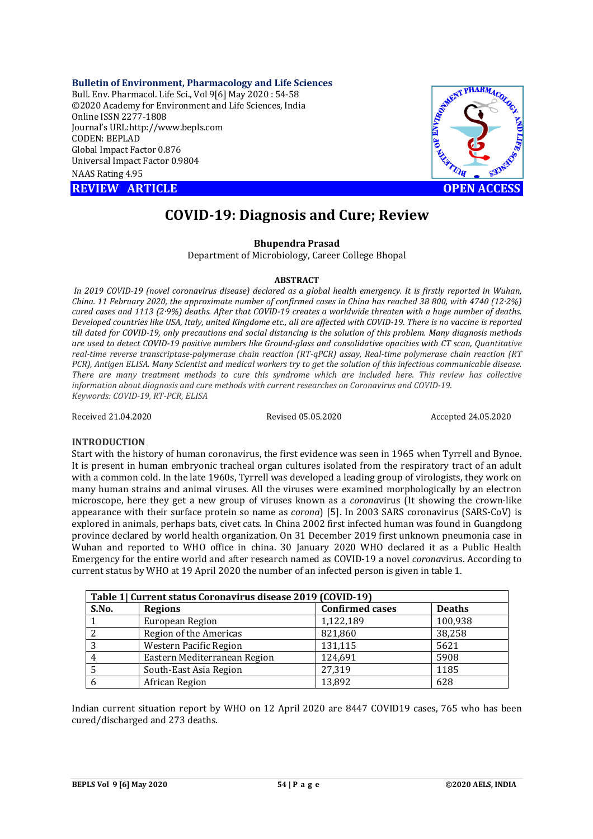**Bulletin of Environment, Pharmacology and Life Sciences**

Bull. Env. Pharmacol. Life Sci., Vol 9[6] May 2020 : 54-58 ©2020 Academy for Environment and Life Sciences, India Online ISSN 2277-1808 Journal's URL:<http://www.bepls.com> CODEN: BEPLAD Global Impact Factor 0.876 Universal Impact Factor 0.9804 NAAS Rating 4.95

**REVIEW ARTICLE CONSUMING ARTICLE** 



# **COVID-19: Diagnosis and Cure; Review**

# **Bhupendra Prasad**

Department of Microbiology, Career College Bhopal

### **ABSTRACT**

*In 2019 COVID-19 (novel coronavirus disease) declared as a global health emergency. It is firstly reported in Wuhan, China. 11 February 2020, the approximate number of confirmed cases in China has reached 38 800, with 4740 (12·2%) cured cases and 1113 (2·9%) deaths. After that COVID-19 creates a worldwide threaten with a huge number of deaths. Developed countries like USA, Italy, united Kingdome etc., all are affected with COVID-19. There is no vaccine is reported till dated for COVID-19, only precautions and social distancing is the solution of this problem. Many diagnosis methods are used to detect COVID-19 positive numbers like Ground-glass and consolidative opacities with CT scan, Quantitative real-time reverse transcriptase-polymerase chain reaction (RT-qPCR) assay, Real-time polymerase chain reaction (RT PCR), Antigen ELISA. Many Scientist and medical workers try to get the solution of this infectious communicable disease. There are many treatment methods to cure this syndrome which are included here. This review has collective information about diagnosis and cure methods with current researches on Coronavirus and COVID-19. Keywords: COVID-19, RT-PCR, ELISA*

Received 21.04.2020 Revised 05.05.2020 Accepted 24.05.2020

### **INTRODUCTION**

Start with the history of human coronavirus, the first evidence was seen in 1965 when Tyrrell and Bynoe. It is present in human embryonic tracheal organ cultures isolated from the respiratory tract of an adult with a common cold. In the late 1960s, Tyrrell was developed a leading group of virologists, they work on many human strains and animal viruses. All the viruses were examined morphologically by an electron microscope, here they get a new group of viruses known as a *corona*virus (It showing the crown-like appearance with their surface protein so name as *corona*) [5]. In 2003 SARS coronavirus (SARS-CoV) is explored in animals, perhaps bats, civet cats. In China 2002 first infected human was found in Guangdong province declared by world health organization. On 31 December 2019 first unknown pneumonia case in Wuhan and reported to WHO office in china. 30 January 2020 WHO declared it as a Public Health Emergency for the entire world and after research named as COVID-19 a novel *corona*virus. According to current status by WHO at 19 April 2020 the number of an infected person is given in table 1.

| Table 1  Current status Coronavirus disease 2019 (COVID-19) |                               |                        |               |  |  |
|-------------------------------------------------------------|-------------------------------|------------------------|---------------|--|--|
| S.No.                                                       | <b>Regions</b>                | <b>Confirmed cases</b> | <b>Deaths</b> |  |  |
|                                                             | European Region               | 1,122,189              | 100,938       |  |  |
|                                                             | Region of the Americas        | 821,860                | 38,258        |  |  |
|                                                             | <b>Western Pacific Region</b> | 131,115                | 5621          |  |  |
| 4                                                           | Eastern Mediterranean Region  | 124,691                | 5908          |  |  |
|                                                             | South-East Asia Region        | 27,319                 | 1185          |  |  |
|                                                             | African Region                | 13,892                 | 628           |  |  |

Indian current situation report by WHO on 12 April 2020 are 8447 COVID19 cases, 765 who has been cured/discharged and 273 deaths.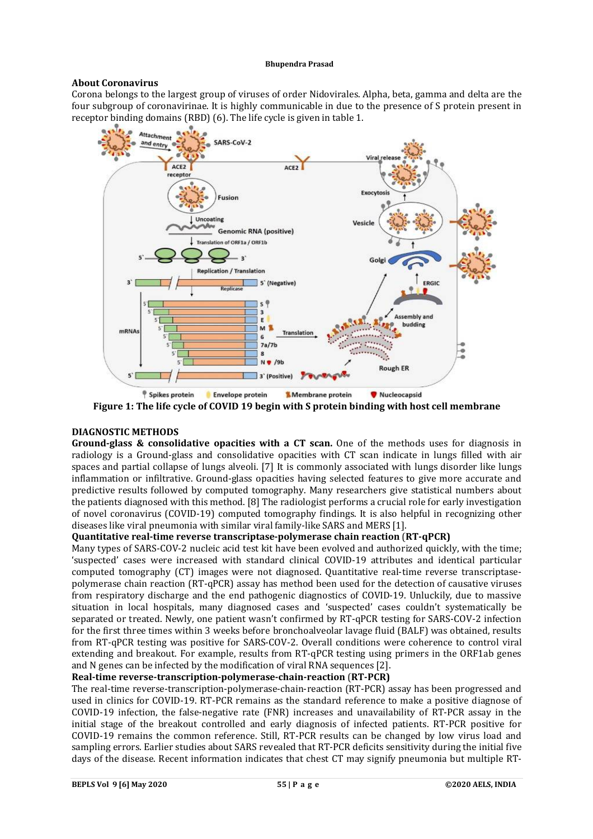# **About Coronavirus**

Corona belongs to the largest group of viruses of order Nidovirales. Alpha, beta, gamma and delta are the four subgroup of coronavirinae. It is highly communicable in due to the presence of S protein present in receptor binding domains (RBD) (6). The life cycle is given in table 1.



**Figure 1: The life cycle of COVID 19 begin with S protein binding with host cell membrane**

# **DIAGNOSTIC METHODS**

**Ground-glass & consolidative opacities with a CT scan.** One of the methods uses for diagnosis in radiology is a Ground-glass and consolidative opacities with CT scan indicate in lungs filled with air spaces and partial collapse of lungs alveoli. [7] It is commonly associated with lungs disorder like lungs inflammation or infiltrative. Ground-glass opacities having selected features to give more accurate and predictive results followed by computed tomography. Many researchers give statistical numbers about the patients diagnosed with this method. [8] The radiologist performs a crucial role for early investigation of novel coronavirus (COVID-19) computed tomography findings. It is also helpful in recognizing other diseases like viral pneumonia with similar viral family-like SARS and MERS [1].

# **Quantitative real-time reverse transcriptase-polymerase chain reaction** (**RT-qPCR)**

Many types of SARS-COV-2 nucleic acid test kit have been evolved and authorized quickly, with the time; 'suspected' cases were increased with standard clinical COVID-19 attributes and identical particular computed tomography (CT) images were not diagnosed. Quantitative real-time reverse transcriptasepolymerase chain reaction (RT-qPCR) assay has method been used for the detection of causative viruses from respiratory discharge and the end pathogenic diagnostics of COVID-19. Unluckily, due to massive situation in local hospitals, many diagnosed cases and 'suspected' cases couldn't systematically be separated or treated. Newly, one patient wasn't confirmed by RT-qPCR testing for SARS-COV-2 infection for the first three times within 3 weeks before bronchoalveolar lavage fluid (BALF) was obtained, results from RT-qPCR testing was positive for SARS-COV-2. Overall conditions were coherence to control viral extending and breakout. For example, results from RT-qPCR testing using primers in the ORF1ab genes and N genes can be infected by the modification of viral RNA sequences [2].

# **Real-time reverse-transcription-polymerase-chain-reaction** (**RT-PCR)**

The real-time reverse-transcription-polymerase-chain-reaction (RT-PCR) assay has been progressed and used in clinics for COVID-19. RT-PCR remains as the standard reference to make a positive diagnose of COVID-19 infection, the false-negative rate (FNR) increases and unavailability of RT-PCR assay in the initial stage of the breakout controlled and early diagnosis of infected patients. RT-PCR positive for COVID-19 remains the common reference. Still, RT-PCR results can be changed by low virus load and sampling errors. Earlier studies about SARS revealed that RT-PCR deficits sensitivity during the initial five days of the disease. Recent information indicates that chest CT may signify pneumonia but multiple RT-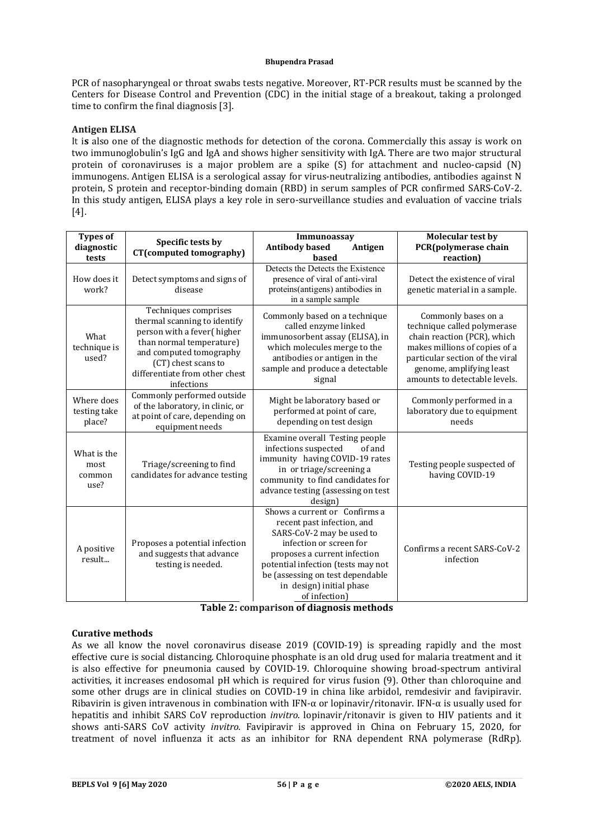PCR of nasopharyngeal or throat swabs tests negative. Moreover, RT-PCR results must be scanned by the Centers for Disease Control and Prevention (CDC) in the initial stage of a breakout, taking a prolonged time to confirm the final diagnosis [3].

# **Antigen ELISA**

It i**s** also one of the diagnostic methods for detection of the corona. Commercially this assay is work on two immunoglobulin's IgG and IgA and shows higher sensitivity with IgA. There are two major structural protein of coronaviruses is a major problem are a spike (S) for attachment and nucleo-capsid (N) immunogens. Antigen ELISA is a serological assay for virus-neutralizing antibodies, antibodies against N protein, S protein and receptor-binding domain (RBD) in serum samples of PCR confirmed SARS-CoV-2. In this study antigen, ELISA plays a key role in sero-surveillance studies and evaluation of vaccine trials [4].

| <b>Types of</b><br>diagnostic<br>tests | Specific tests by<br>CT(computed tomography)                                                                                                                                                                     | Immunoassav<br><b>Antibody based</b><br>Antigen<br>based                                                                                                                                                                                                                   | <b>Molecular test by</b><br>PCR(polymerase chain<br>reaction)                                                                                                                                                      |
|----------------------------------------|------------------------------------------------------------------------------------------------------------------------------------------------------------------------------------------------------------------|----------------------------------------------------------------------------------------------------------------------------------------------------------------------------------------------------------------------------------------------------------------------------|--------------------------------------------------------------------------------------------------------------------------------------------------------------------------------------------------------------------|
| How does it<br>work?                   | Detect symptoms and signs of<br>disease                                                                                                                                                                          | Detects the Detects the Existence<br>presence of viral of anti-viral<br>proteins(antigens) antibodies in<br>in a sample sample                                                                                                                                             | Detect the existence of viral<br>genetic material in a sample.                                                                                                                                                     |
| What<br>technique is<br>used?          | Techniques comprises<br>thermal scanning to identify<br>person with a fever(higher<br>than normal temperature)<br>and computed tomography<br>(CT) chest scans to<br>differentiate from other chest<br>infections | Commonly based on a technique<br>called enzyme linked<br>immunosorbent assay (ELISA), in<br>which molecules merge to the<br>antibodies or antigen in the<br>sample and produce a detectable<br>signal                                                                      | Commonly bases on a<br>technique called polymerase<br>chain reaction (PCR), which<br>makes millions of copies of a<br>particular section of the viral<br>genome, amplifying least<br>amounts to detectable levels. |
| Where does<br>testing take<br>place?   | Commonly performed outside<br>of the laboratory, in clinic, or<br>at point of care, depending on<br>equipment needs                                                                                              | Might be laboratory based or<br>performed at point of care,<br>depending on test design                                                                                                                                                                                    | Commonly performed in a<br>laboratory due to equipment<br>needs                                                                                                                                                    |
| What is the<br>most<br>common<br>use?  | Triage/screening to find<br>candidates for advance testing                                                                                                                                                       | Examine overall Testing people<br>infections suspected<br>of and<br>immunity having COVID-19 rates<br>in or triage/screening a<br>community to find candidates for<br>advance testing (assessing on test<br>design)                                                        | Testing people suspected of<br>having COVID-19                                                                                                                                                                     |
| A positive<br>result                   | Proposes a potential infection<br>and suggests that advance<br>testing is needed.                                                                                                                                | Shows a current or Confirms a<br>recent past infection, and<br>SARS-CoV-2 may be used to<br>infection or screen for<br>proposes a current infection<br>potential infection (tests may not<br>be (assessing on test dependable<br>in design) initial phase<br>of infection) | Confirms a recent SARS-CoV-2<br>infection                                                                                                                                                                          |

| Table 2: comparison of diagnosis methods |  |  |
|------------------------------------------|--|--|
|------------------------------------------|--|--|

### **Curative methods**

As we all know the novel coronavirus disease 2019 (COVID-19) is spreading rapidly and the most effective cure is social distancing. Chloroquine phosphate is an old drug used for malaria treatment and it is also effective for pneumonia caused by COVID-19. Chloroquine showing broad-spectrum antiviral activities, it increases endosomal pH which is required for virus fusion (9). Other than chloroquine and some other drugs are in clinical studies on COVID-19 in china like arbidol, remdesivir and favipiravir. Ribavirin is given intravenous in combination with IFN-α or lopinavir/ritonavir. IFN-α is usually used for hepatitis and inhibit SARS CoV reproduction *invitro*. lopinavir/ritonavir is given to HIV patients and it shows anti-SARS CoV activity *invitro.* Favipiravir is approved in China on February 15, 2020, for treatment of novel influenza it acts as an inhibitor for RNA dependent RNA polymerase (RdRp).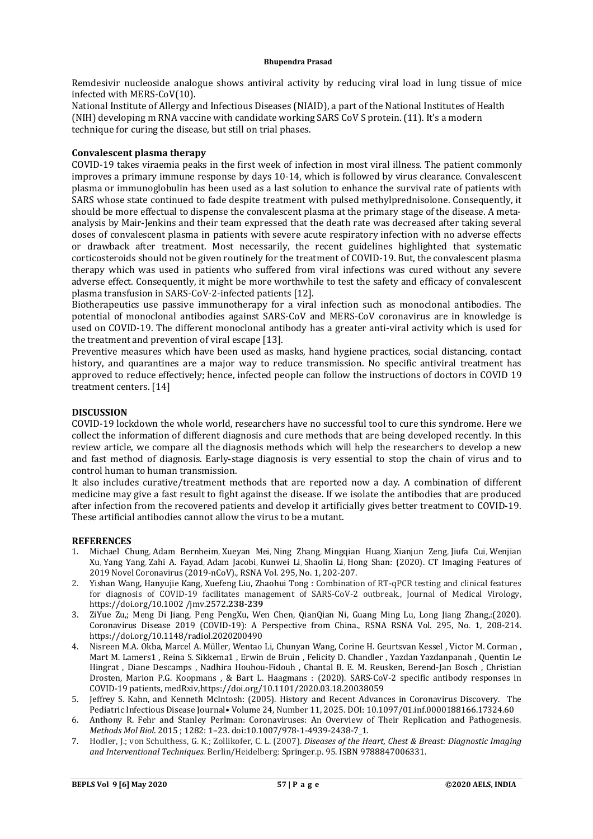Remdesivir nucleoside analogue shows antiviral activity by reducing viral load in lung tissue of mice infected with MERS-CoV(10).

National Institute of Allergy and Infectious Diseases (NIAID), a part of the National Institutes of Health (NIH) developing m RNA vaccine with candidate working SARS CoV S protein. (11). It's a modern technique for curing the disease, but still on trial phases.

### **Convalescent plasma therapy**

COVID-19 takes viraemia peaks in the first week of infection in most viral illness. The patient commonly improves a primary immune response by days 10-14, which is followed by virus clearance. Convalescent plasma or immunoglobulin has been used as a last solution to enhance the survival rate of patients with SARS whose state continued to fade despite treatment with pulsed methylprednisolone. Consequently, it should be more effectual to dispense the convalescent plasma at the primary stage of the disease. A metaanalysis by Mair-Jenkins and their team expressed that the death rate was decreased after taking several doses of convalescent plasma in patients with severe acute respiratory infection with no adverse effects or drawback after treatment. Most necessarily, the recent guidelines highlighted that systematic corticosteroids should not be given routinely for the treatment of COVID-19. But, the convalescent plasma therapy which was used in patients who suffered from viral infections was cured without any severe adverse effect. Consequently, it might be more worthwhile to test the safety and efficacy of convalescent plasma transfusion in SARS-CoV-2-infected patients [12].

Biotherapeutics use passive immunotherapy for a viral infection such as monoclonal antibodies. The potential of monoclonal antibodies against SARS-CoV and MERS-CoV coronavirus are in knowledge is used on COVID-19. The different monoclonal antibody has a greater anti-viral activity which is used for the treatment and prevention of viral escape [13].

Preventive measures which have been used as masks, hand hygiene practices, social distancing, contact history, and quarantines are a major way to reduce transmission. No specific antiviral treatment has approved to reduce effectively; hence, infected people can follow the instructions of doctors in COVID 19 treatment centers. [14]

# **DISCUSSION**

COVID-19 lockdown the whole world, researchers have no successful tool to cure this syndrome. Here we collect the information of different diagnosis and cure methods that are being developed recently. In this review article, we compare all the diagnosis methods which will help the researchers to develop a new and fast method of diagnosis. Early-stage diagnosis is very essential to stop the chain of virus and to control human to human transmission.

It also includes curative/treatment methods that are reported now a day. A combination of different medicine may give a fast result to fight against the disease. If we isolate the antibodies that are produced after infection from the recovered patients and develop it artificially gives better treatment to COVID-19. These artificial antibodies cannot allow the virus to be a mutant.

### **REFERENCES**

- 1. Michael Chung, Adam Bernheim, Xueyan Mei, Ning Zhang, Mingqian Huang, Xianjun Zeng, Jiufa Cui, Wenjian Xu, Yang Yang, Zahi A. Fayad, Adam Jacobi, Kunwei Li, Shaolin Li, Hong Shan: (2020). CT Imaging Features of 2019 Novel Coronavirus (2019-nCoV)., RSNA Vol. 295, No. 1, 202-207.
- 2. Yishan Wang, Hanyujie Kang, Xuefeng Liu, Zhaohui Tong : Combination of RT‐qPCR testing and clinical features for diagnosis of COVID-19 facilitates management of SARS-CoV-2 outbreak., Journal of Medical Virology, <https://doi.org/10.1002> /jmv.2572**.238-239**
- 3. ZiYue Zu,; Meng Di Jiang, Peng PengXu, Wen Chen, QianQian Ni, Guang Ming Lu, Long Jiang Zhang,:(2020). Coronavirus Disease 2019 (COVID-19): A Perspective from China., RSNA RSNA Vol. 295, No. 1, 208-214. <https://doi.org/10.1148/radiol.2020200490>
- 4. Nisreen M.A. Okba, Marcel A. Müller, Wentao Li, Chunyan Wang, Corine H. Geurtsvan Kessel , Victor M. Corman , Mart M. Lamers1 , Reina S. Sikkema1 , Erwin de Bruin , Felicity D. Chandler , Yazdan Yazdanpanah , Quentin Le Hingrat , Diane Descamps , Nadhira Houhou-Fidouh , Chantal B. E. M. Reusken, Berend-Jan Bosch , Christian Drosten, Marion P.G. Koopmans , & Bart L. Haagmans : (2020). SARS-CoV-2 specific antibody responses in COVID-19 patients, medRxiv[,https://doi.org/10.1101/2020.03.18.20038059](https://doi.org/10.1101/2020.03.18.20038059)
- 5. Jeffrey S. Kahn, and Kenneth McIntosh: (2005). History and Recent Advances in Coronavirus Discovery. The Pediatric Infectious Disease Journal• Volume 24, Number 11, 2025. DOI: 10.1097/01.inf.0000188166.17324.60
- 6. Anthony R. Fehr and Stanley Perlman: Coronaviruses: An Overview of Their Replication and Pathogenesis. *Methods Mol Biol*. 2015 ; 1282: 1–23. doi:10.1007/978-1-4939-2438-7\_1.
- 7. Hodler, J.; von Schulthess, G. K.; Zollikofer, C. L. (2007). *Diseases of the Heart, Chest & Breast: Diagnostic Imaging and Interventional Techniques*. Berlin/Heidelberg: Springer.p. 95. ISBN 9788847006331.